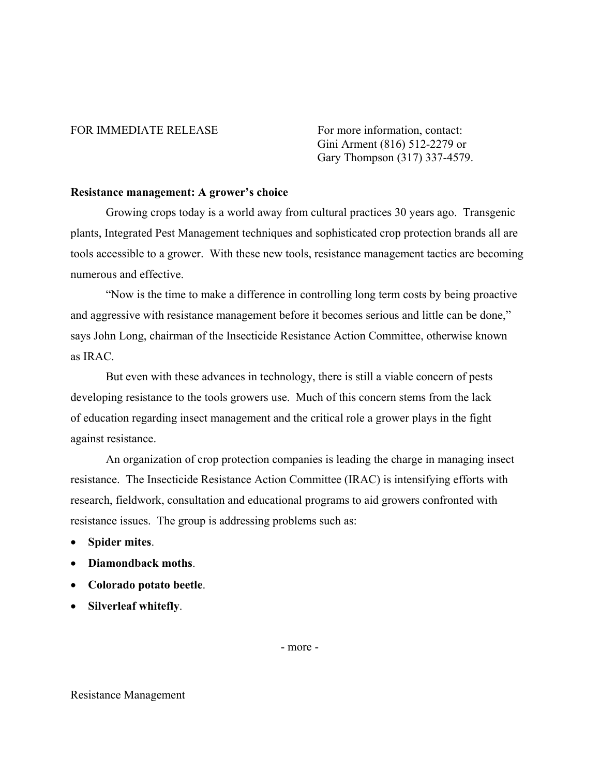## FOR IMMEDIATE RELEASE For more information, contact:

Gini Arment (816) 512-2279 or Gary Thompson (317) 337-4579.

## **Resistance management: A grower's choice**

Growing crops today is a world away from cultural practices 30 years ago. Transgenic plants, Integrated Pest Management techniques and sophisticated crop protection brands all are tools accessible to a grower. With these new tools, resistance management tactics are becoming numerous and effective.

"Now is the time to make a difference in controlling long term costs by being proactive and aggressive with resistance management before it becomes serious and little can be done," says John Long, chairman of the Insecticide Resistance Action Committee, otherwise known as IRAC.

But even with these advances in technology, there is still a viable concern of pests developing resistance to the tools growers use. Much of this concern stems from the lack of education regarding insect management and the critical role a grower plays in the fight against resistance.

An organization of crop protection companies is leading the charge in managing insect resistance. The Insecticide Resistance Action Committee (IRAC) is intensifying efforts with research, fieldwork, consultation and educational programs to aid growers confronted with resistance issues. The group is addressing problems such as:

- **Spider mites**.
- **Diamondback moths**.
- **Colorado potato beetle**.
- **Silverleaf whitefly**.

- more -

## Resistance Management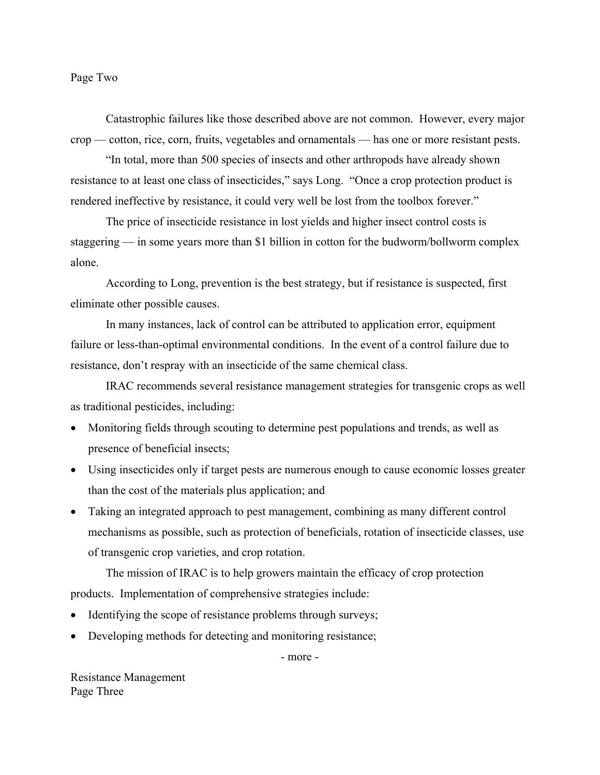Page Two

 Catastrophic failures like those described above are not common. However, every major crop — cotton, rice, corn, fruits, vegetables and ornamentals — has one or more resistant pests.

"In total, more than 500 species of insects and other arthropods have already shown resistance to at least one class of insecticides," says Long. "Once a crop protection product is rendered ineffective by resistance, it could very well be lost from the toolbox forever."

The price of insecticide resistance in lost yields and higher insect control costs is staggering — in some years more than \$1 billion in cotton for the budworm/bollworm complex alone.

According to Long, prevention is the best strategy, but if resistance is suspected, first eliminate other possible causes.

In many instances, lack of control can be attributed to application error, equipment failure or less-than-optimal environmental conditions. In the event of a control failure due to resistance, don't respray with an insecticide of the same chemical class.

 IRAC recommends several resistance management strategies for transgenic crops as well as traditional pesticides, including:

- Monitoring fields through scouting to determine pest populations and trends, as well as presence of beneficial insects;
- Using insecticides only if target pests are numerous enough to cause economic losses greater than the cost of the materials plus application; and
- Taking an integrated approach to pest management, combining as many different control mechanisms as possible, such as protection of beneficials, rotation of insecticide classes, use of transgenic crop varieties, and crop rotation.

 The mission of IRAC is to help growers maintain the efficacy of crop protection products. Implementation of comprehensive strategies include:

- Identifying the scope of resistance problems through surveys;
- Developing methods for detecting and monitoring resistance;

- more -

Resistance Management Page Three